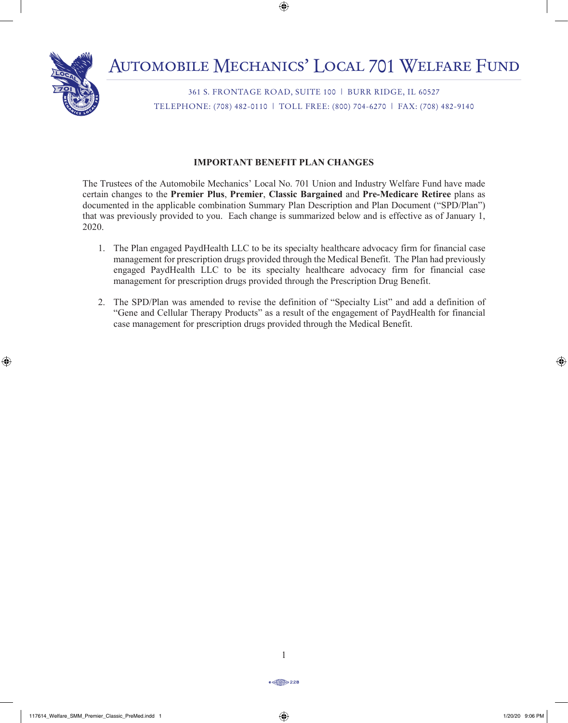

361 S. FRONTAGE ROAD, SUITE 100 | BURR RIDGE, IL 60527 TELEPHONE: (708) 482-0110 | TOLL FREE: (800) 704-6270 | FAX: (708) 482-9140

# **IMPORTANT BENEFIT PLAN CHANGES**

The Trustees of the Automobile Mechanics' Local No. 701 Union and Industry Welfare Fund have made certain changes to the **Premier Plus**, **Premier**, **Classic Bargained** and **Pre-Medicare Retiree** plans as documented in the applicable combination Summary Plan Description and Plan Document ("SPD/Plan") that was previously provided to you. Each change is summarized below and is effective as of January 1, 2020.

- 1. The Plan engaged PaydHealth LLC to be its specialty healthcare advocacy firm for financial case management for prescription drugs provided through the Medical Benefit. The Plan had previously engaged PaydHealth LLC to be its specialty healthcare advocacy firm for financial case management for prescription drugs provided through the Prescription Drug Benefit.
- 2. The SPD/Plan was amended to revise the definition of "Specialty List" and add a definition of "Gene and Cellular Therapy Products" as a result of the engagement of PaydHealth for financial case management for prescription drugs provided through the Medical Benefit.